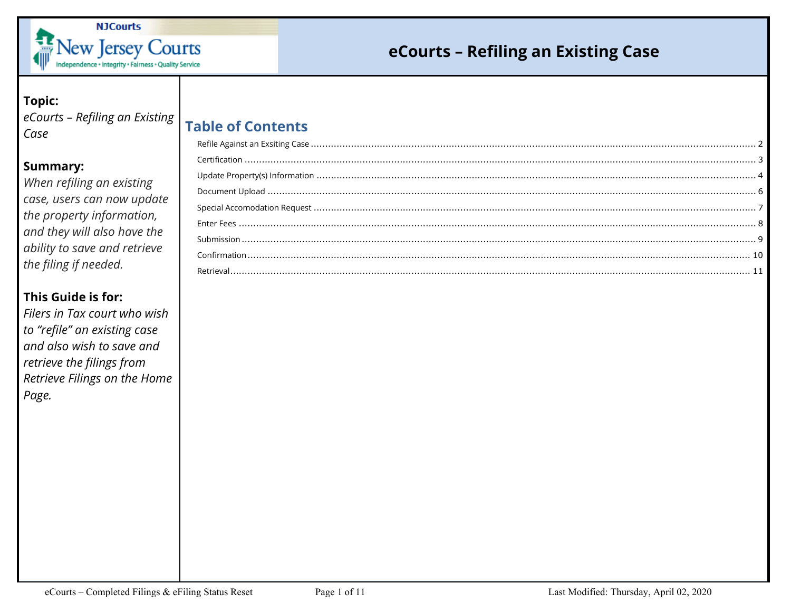

### **Topic:**

eCourts - Refiling an Existing | Table of Contents  $Case$ 

### **Summary:**

When refiling an existing case, users can now update the property information, and they will also have the ability to save and retrieve the filing if needed.

### This Guide is for:

Filers in Tax court who wish to "refile" an existing case and also wish to save and retrieve the filings from Retrieve Filings on the Home Page.

| LOUIL VI CUITLEILS |  |
|--------------------|--|
|                    |  |
|                    |  |
|                    |  |
|                    |  |
|                    |  |
|                    |  |
|                    |  |
|                    |  |
|                    |  |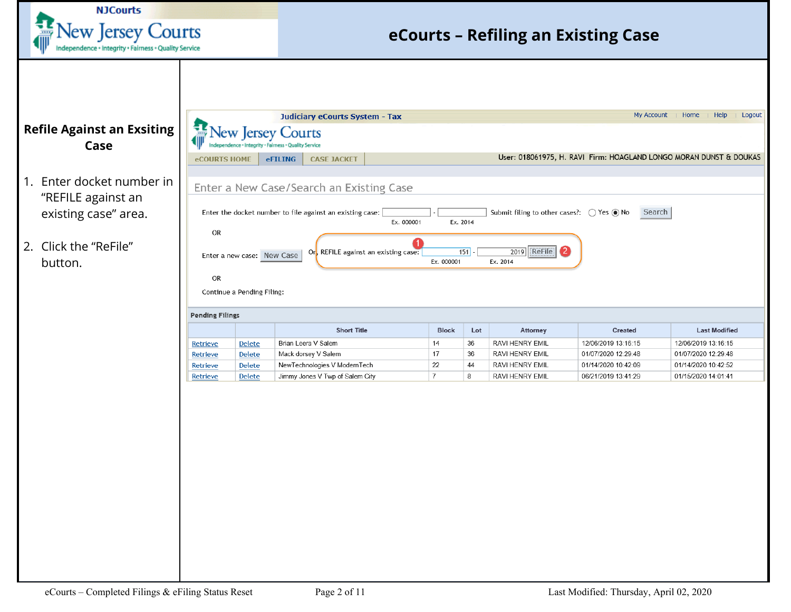<span id="page-1-0"></span>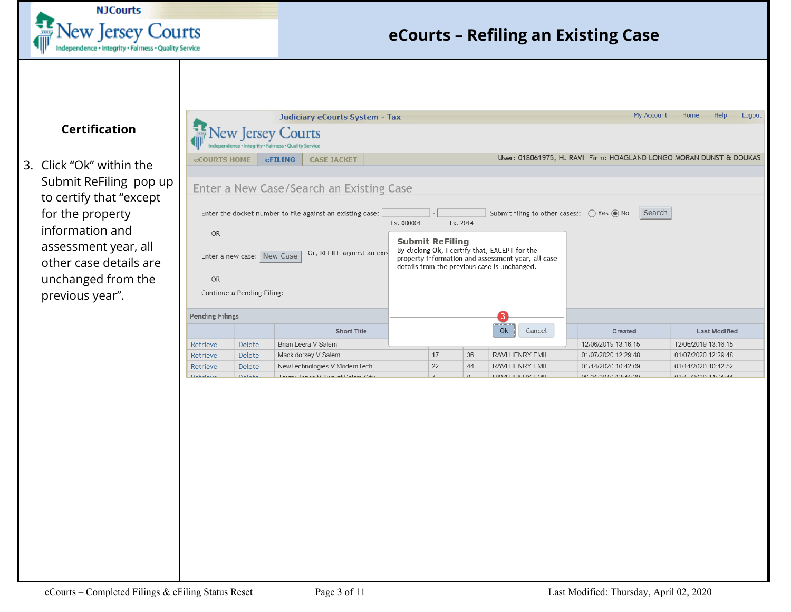

### <span id="page-2-0"></span>**Certification**

3. Click "Ok" within the Submit ReFiling pop up to certify that "except for the property information and assessment year, all other case details are unchanged from the previous year".

|                                                            |                            | <b>Judiciary eCourts System - Tax</b>                                            |    |    |                                                                                                                                                      | My Account                                                         | Home<br>Help<br>Logout |
|------------------------------------------------------------|----------------------------|----------------------------------------------------------------------------------|----|----|------------------------------------------------------------------------------------------------------------------------------------------------------|--------------------------------------------------------------------|------------------------|
|                                                            |                            | <b>Vew Jersey Courts</b><br>ndependence + Integrity + Fairness + Quality Service |    |    |                                                                                                                                                      |                                                                    |                        |
| <b>eCOURTS HOME</b>                                        |                            | <b>CASE JACKET</b><br><b>eFILING</b>                                             |    |    |                                                                                                                                                      | User: 018061975, H. RAVI Firm: HOAGLAND LONGO MORAN DUNST & DOUKAS |                        |
|                                                            |                            |                                                                                  |    |    |                                                                                                                                                      |                                                                    |                        |
|                                                            |                            | Enter a New Case/Search an Existing Case                                         |    |    |                                                                                                                                                      |                                                                    |                        |
|                                                            | Enter a new case: New Case | Or, REFILE against an exis                                                       |    |    | By clicking Ok, I certify that, EXCEPT for the<br>property information and assessment year, all case<br>details from the previous case is unchanged. |                                                                    |                        |
| <b>OR</b>                                                  | Continue a Pending Filing: |                                                                                  |    |    |                                                                                                                                                      |                                                                    |                        |
|                                                            |                            |                                                                                  |    |    |                                                                                                                                                      |                                                                    |                        |
|                                                            |                            | <b>Short Title</b>                                                               |    |    | Ok<br>Cancel                                                                                                                                         | Created                                                            | <b>Last Modified</b>   |
|                                                            | <b>Delete</b>              | Brian Leera V Salem                                                              |    |    |                                                                                                                                                      | 12/06/2019 13:16:15                                                | 12/06/2019 13:16:15    |
|                                                            | <b>Delete</b>              | Mack dorsey V Salem                                                              | 17 | 36 | <b>RAVI HENRY EMIL</b>                                                                                                                               | 01/07/2020 12:29:48                                                | 01/07/2020 12:29:48    |
| <b>Pending Filings</b><br>Retrieve<br>Retrieve<br>Retrieve | <b>Delete</b>              | NewTechnologies V ModernTech                                                     | 22 | 44 | <b>RAVI HENRY EMIL</b>                                                                                                                               | 01/14/2020 10:42:09                                                | 01/14/2020 10:42:52    |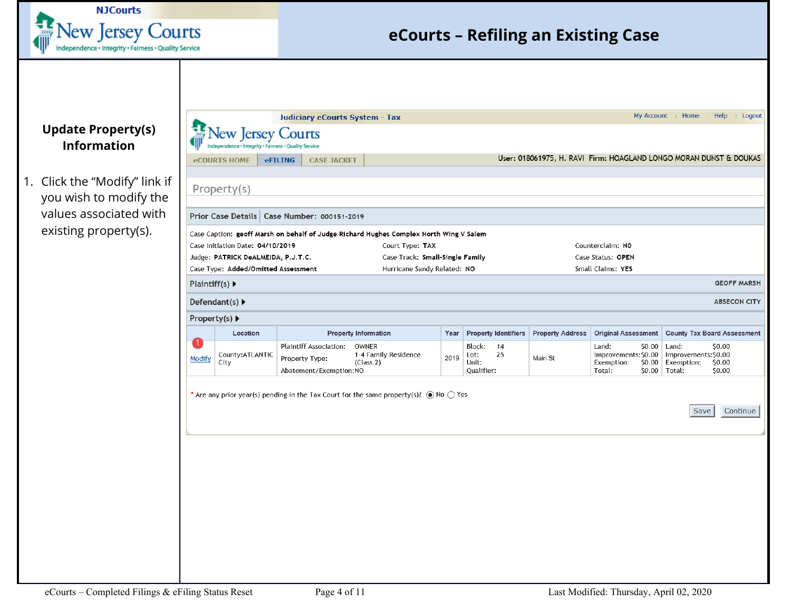

### <span id="page-3-0"></span>**Update Property(s) Information**

1. Click the "Modify" link you wish to modify the values associated with existing property(s).

|                                                      |                                                                                                                                                                                                                                                                                                                                                                                                                                                                                                                                                                                                                                                                                                                                                                                                                                                                                                                                                                                                                                                                       | Judiciary eCourts System - Tax |           |  |                     |  | My Account                              | Home                         | Help<br>Logout     |  |
|------------------------------------------------------|-----------------------------------------------------------------------------------------------------------------------------------------------------------------------------------------------------------------------------------------------------------------------------------------------------------------------------------------------------------------------------------------------------------------------------------------------------------------------------------------------------------------------------------------------------------------------------------------------------------------------------------------------------------------------------------------------------------------------------------------------------------------------------------------------------------------------------------------------------------------------------------------------------------------------------------------------------------------------------------------------------------------------------------------------------------------------|--------------------------------|-----------|--|---------------------|--|-----------------------------------------|------------------------------|--------------------|--|
| <b>Update Property(s)</b><br><b>Information</b>      | 霊<br><b>New Jersey Courts</b>                                                                                                                                                                                                                                                                                                                                                                                                                                                                                                                                                                                                                                                                                                                                                                                                                                                                                                                                                                                                                                         |                                |           |  |                     |  |                                         |                              |                    |  |
|                                                      | <b>eCOURTS HOME</b>                                                                                                                                                                                                                                                                                                                                                                                                                                                                                                                                                                                                                                                                                                                                                                                                                                                                                                                                                                                                                                                   |                                |           |  |                     |  |                                         |                              |                    |  |
| Click the "Modify" link if<br>you wish to modify the | Property(s)                                                                                                                                                                                                                                                                                                                                                                                                                                                                                                                                                                                                                                                                                                                                                                                                                                                                                                                                                                                                                                                           |                                |           |  |                     |  |                                         |                              |                    |  |
| values associated with<br>existing property(s).      | User: 018061975, H. RAVI Firm: HOAGLAND LONGO MORAN DUNST & DOUKAS<br>eFILING<br><b>CASE JACKET</b><br>Prior Case Details   Case Number: 000151-2019<br>Case Caption: geoff Marsh on behalf of Judge Richard Hughes Complex North Wing V Salem<br>Case Initiation Date: 04/10/2019<br>Court Type: TAX<br>Counterclaim: NO<br>Judge: PATRICK DeALMEIDA, P.J.T.C.<br>Case Track: Small-Single Family<br>Case Status: OPEN<br>Small Claims: YES<br>Case Type: Added/Omitted Assessment<br>Hurricane Sandy Related: NO<br>Plaintiff(s) $\blacktriangleright$<br>Defendant(s) $\blacktriangleright$<br><b>ABSECON CITY</b><br>Property(s) ▶<br><b>Property Information</b><br><b>Property Identifiers</b><br><b>Property Address</b><br>Original Assessment   County Tax Board Assessment<br>Location<br>Year<br>$\vert$ 1.<br>Plaintiff Association:<br>OWNER<br>Block: 14<br>Land:<br>$$0.00$   Land:<br>\$0.00<br>County: ATLANTIC<br>1-4 Family Residence<br>25<br>Improvements: \$0.00<br>Improvements: \$0.00<br>Lot:<br>2019<br>Main St<br>Modify<br>Property Type: |                                |           |  |                     |  |                                         |                              |                    |  |
|                                                      |                                                                                                                                                                                                                                                                                                                                                                                                                                                                                                                                                                                                                                                                                                                                                                                                                                                                                                                                                                                                                                                                       |                                |           |  |                     |  |                                         |                              |                    |  |
|                                                      |                                                                                                                                                                                                                                                                                                                                                                                                                                                                                                                                                                                                                                                                                                                                                                                                                                                                                                                                                                                                                                                                       |                                |           |  |                     |  |                                         |                              | <b>GEOFF MARSH</b> |  |
|                                                      |                                                                                                                                                                                                                                                                                                                                                                                                                                                                                                                                                                                                                                                                                                                                                                                                                                                                                                                                                                                                                                                                       |                                |           |  |                     |  |                                         |                              |                    |  |
|                                                      |                                                                                                                                                                                                                                                                                                                                                                                                                                                                                                                                                                                                                                                                                                                                                                                                                                                                                                                                                                                                                                                                       |                                |           |  |                     |  |                                         |                              |                    |  |
|                                                      | City                                                                                                                                                                                                                                                                                                                                                                                                                                                                                                                                                                                                                                                                                                                                                                                                                                                                                                                                                                                                                                                                  | Abatement/Exemption:NO         | (Class 2) |  | Unit:<br>Qualifier: |  | \$0.00<br>Exemption:<br>Total:          | Exemption:<br>$$0.00$ Total: | \$0.00<br>\$0.00   |  |
|                                                      | * Are any prior year(s) pending in the Tax Court for the same property(s)? $\circled{ }$ No $\circlearrowright$ Yes                                                                                                                                                                                                                                                                                                                                                                                                                                                                                                                                                                                                                                                                                                                                                                                                                                                                                                                                                   |                                |           |  |                     |  |                                         | Save                         | Continue           |  |
|                                                      |                                                                                                                                                                                                                                                                                                                                                                                                                                                                                                                                                                                                                                                                                                                                                                                                                                                                                                                                                                                                                                                                       |                                |           |  |                     |  |                                         |                              |                    |  |
| eCourts - Completed Filings & eFiling Status Reset   |                                                                                                                                                                                                                                                                                                                                                                                                                                                                                                                                                                                                                                                                                                                                                                                                                                                                                                                                                                                                                                                                       | Page 4 of 11                   |           |  |                     |  | Last Modified: Thursday, April 02, 2020 |                              |                    |  |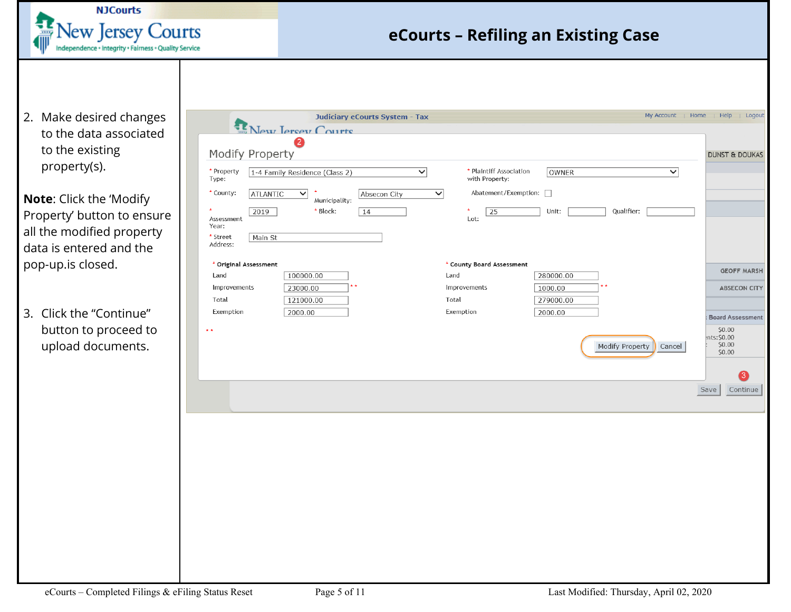

2. Make desired changes to the data associated to the existing property(s).

**Note**: Click the 'Modify Property' button to ensure all the modified property data is entered and the pop-up.is closed.

3. Click the "Continue" button to proceed to upload documents.

|                                                                                                                                                            | <b>Judiciary eCourts System - Tax</b>                                                            |                                                                                |                                                                 | My Account   Home          |      | Help   Logout                                                        |                                           |
|------------------------------------------------------------------------------------------------------------------------------------------------------------|--------------------------------------------------------------------------------------------------|--------------------------------------------------------------------------------|-----------------------------------------------------------------|----------------------------|------|----------------------------------------------------------------------|-------------------------------------------|
| New Jercey Courts<br>2<br>Modify Property<br>* Property<br>1-4 Family Residence (Class 2)<br>Type:<br>* County:<br><b>ATLANTIC</b><br>$\checkmark$<br>2019 | $\blacktriangledown$<br>$\checkmark$<br>Absecon City<br>Municipality:<br>* Block:<br>$\sqrt{14}$ | * Plaintiff Association<br>with Property:<br>Abatement/Exemption: $\Box$<br>25 | OWNER<br>Unit:                                                  | $\checkmark$<br>Qualifier: |      | <b>DUNST &amp; DOUKAS</b>                                            |                                           |
| Assessment<br>Year:<br>* Street<br>Main St<br>Address:                                                                                                     |                                                                                                  | Lot:                                                                           |                                                                 |                            |      |                                                                      |                                           |
| * Original Assessment<br>100000.00<br>Land<br>Improvements<br>23000.00<br>Total<br>121000.00<br>Exemption<br>2000.00                                       |                                                                                                  | * County Board Assessment<br>Land<br>Improvements<br>Total<br>Exemption        | 280000.00<br>$\star$ $\star$<br>1000.00<br>279000.00<br>2000.00 |                            |      |                                                                      | <b>GEOFF MARSH</b><br><b>ABSECON CITY</b> |
| $\star$ $\star$                                                                                                                                            |                                                                                                  |                                                                                | Modify Property                                                 | Cancel                     |      | <b>Board Assessment</b><br>\$0.00<br>nts: \$0.00<br>\$0.00<br>\$0.00 | 3                                         |
|                                                                                                                                                            |                                                                                                  |                                                                                |                                                                 |                            | Save |                                                                      | Continue                                  |
|                                                                                                                                                            |                                                                                                  |                                                                                |                                                                 |                            |      |                                                                      |                                           |
|                                                                                                                                                            |                                                                                                  |                                                                                |                                                                 |                            |      |                                                                      |                                           |
|                                                                                                                                                            |                                                                                                  |                                                                                |                                                                 |                            |      |                                                                      |                                           |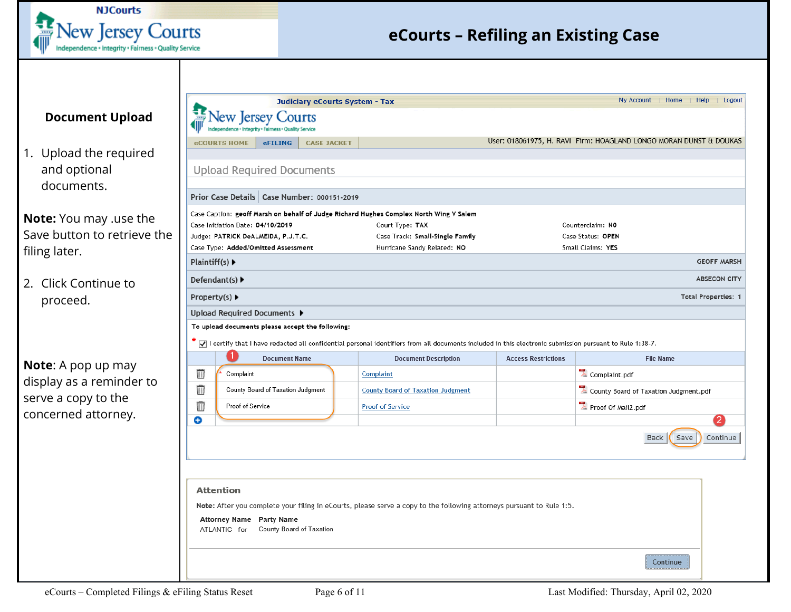

#### <span id="page-5-0"></span>**Document Upload**

1. Upload the required and optional documents.

**Note:** You may .use the Save button to retrieve the filing later.

2. Click Continue to proceed.

**Note**: A pop up may display as a reminder to serve a copy to the concerned attorney.

|                | ew Jersey                          |                                                             |                                                  |                                                                                                                                                                        |                                        |                                                                    |                            |  |  |
|----------------|------------------------------------|-------------------------------------------------------------|--------------------------------------------------|------------------------------------------------------------------------------------------------------------------------------------------------------------------------|----------------------------------------|--------------------------------------------------------------------|----------------------------|--|--|
|                |                                    | <b>Fairness . Quality</b>                                   |                                                  |                                                                                                                                                                        |                                        |                                                                    |                            |  |  |
|                | <b>eCOURTS HOME</b>                | <b>eFILING</b>                                              | <b>CASE JACKET</b>                               |                                                                                                                                                                        |                                        | User: 018061975, H. RAVI Firm: HOAGLAND LONGO MORAN DUNST & DOUKAS |                            |  |  |
|                |                                    |                                                             |                                                  |                                                                                                                                                                        |                                        |                                                                    |                            |  |  |
|                |                                    | <b>Upload Required Documents</b>                            |                                                  |                                                                                                                                                                        |                                        |                                                                    |                            |  |  |
|                |                                    |                                                             | Prior Case Details   Case Number: 000151-2019    |                                                                                                                                                                        |                                        |                                                                    |                            |  |  |
|                |                                    |                                                             |                                                  | Case Caption: geoff Marsh on behalf of Judge Richard Hughes Complex North Wing V Salem                                                                                 |                                        |                                                                    |                            |  |  |
|                | Case Initiation Date: 04/10/2019   |                                                             |                                                  | Court Type: TAX                                                                                                                                                        |                                        | Counterclaim: NO                                                   |                            |  |  |
|                |                                    | Judge: PATRICK DeALMEIDA, P.J.T.C.                          |                                                  | Case Track: Small-Single Family                                                                                                                                        | Case Status: OPEN<br>Small Claims: YES |                                                                    |                            |  |  |
| Plaintiff(s) ▶ |                                    | Case Type: Added/Omitted Assessment                         |                                                  | Hurricane Sandy Related: NO                                                                                                                                            |                                        |                                                                    | <b>GEOFF MARSH</b>         |  |  |
|                | Defendant(s) $\blacktriangleright$ |                                                             |                                                  |                                                                                                                                                                        |                                        |                                                                    | <b>ABSECON CITY</b>        |  |  |
|                | Property(s) ▶                      |                                                             |                                                  |                                                                                                                                                                        |                                        |                                                                    | <b>Total Properties: 1</b> |  |  |
|                |                                    |                                                             |                                                  |                                                                                                                                                                        |                                        |                                                                    |                            |  |  |
|                |                                    |                                                             |                                                  |                                                                                                                                                                        |                                        |                                                                    |                            |  |  |
|                | Upload Required Documents ▶        |                                                             |                                                  |                                                                                                                                                                        |                                        |                                                                    |                            |  |  |
|                |                                    |                                                             | To upload documents please accept the following: |                                                                                                                                                                        |                                        |                                                                    |                            |  |  |
|                |                                    |                                                             |                                                  | $\star$ $\Box$ I certify that I have redacted all confidential personal identifiers from all documents included in this electronic submission pursuant to Rule 1:38-7. |                                        |                                                                    |                            |  |  |
|                |                                    | <b>Document Name</b>                                        |                                                  | <b>Document Description</b>                                                                                                                                            | <b>Access Restrictions</b>             | <b>File Name</b>                                                   |                            |  |  |
| Ŵ              | Complaint                          |                                                             |                                                  | Complaint                                                                                                                                                              |                                        | $\overline{\lambda}$ Complaint.pdf                                 |                            |  |  |
| Ŵ              |                                    | County Board of Taxation Judgment                           |                                                  | <b>County Board of Taxation Judgment</b>                                                                                                                               |                                        | County Board of Taxation Judgment.pdf                              |                            |  |  |
| Ŵ              | Proof of Service                   |                                                             |                                                  | <b>Proof of Service</b>                                                                                                                                                |                                        | Proof Of Mail2.pdf                                                 |                            |  |  |
| O              |                                    |                                                             |                                                  |                                                                                                                                                                        |                                        |                                                                    | $\overline{2}$             |  |  |
|                |                                    |                                                             |                                                  |                                                                                                                                                                        |                                        | Save<br><b>Back</b>                                                |                            |  |  |
|                |                                    |                                                             |                                                  |                                                                                                                                                                        |                                        |                                                                    |                            |  |  |
|                |                                    |                                                             |                                                  |                                                                                                                                                                        |                                        |                                                                    |                            |  |  |
|                |                                    |                                                             |                                                  |                                                                                                                                                                        |                                        |                                                                    |                            |  |  |
|                |                                    |                                                             |                                                  |                                                                                                                                                                        |                                        |                                                                    |                            |  |  |
|                | <b>Attention</b>                   |                                                             |                                                  |                                                                                                                                                                        |                                        |                                                                    |                            |  |  |
|                |                                    |                                                             |                                                  | Note: After you complete your filing in eCourts, please serve a copy to the following attorneys pursuant to Rule 1:5.                                                  |                                        |                                                                    | Continue                   |  |  |
|                | ATLANTIC for                       | <b>Attorney Name Party Name</b><br>County Board of Taxation |                                                  |                                                                                                                                                                        |                                        |                                                                    |                            |  |  |
|                |                                    |                                                             |                                                  |                                                                                                                                                                        |                                        |                                                                    |                            |  |  |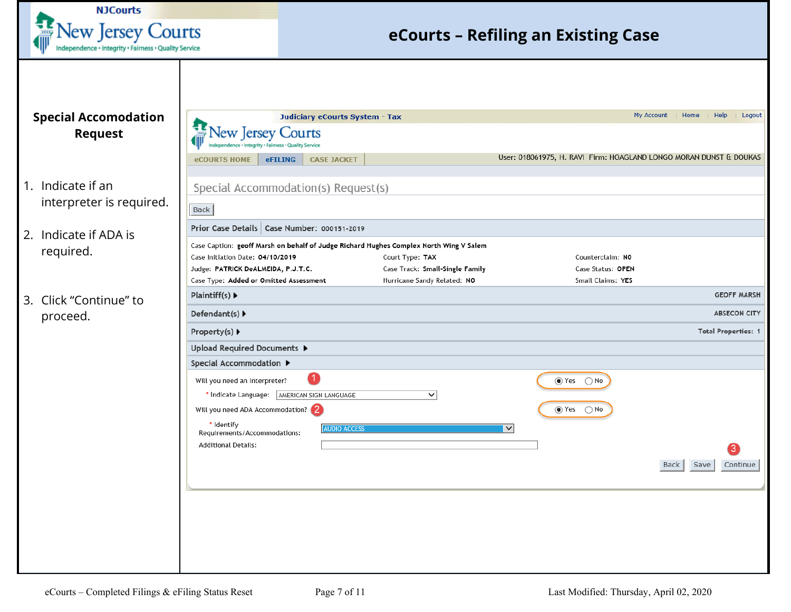<span id="page-6-0"></span>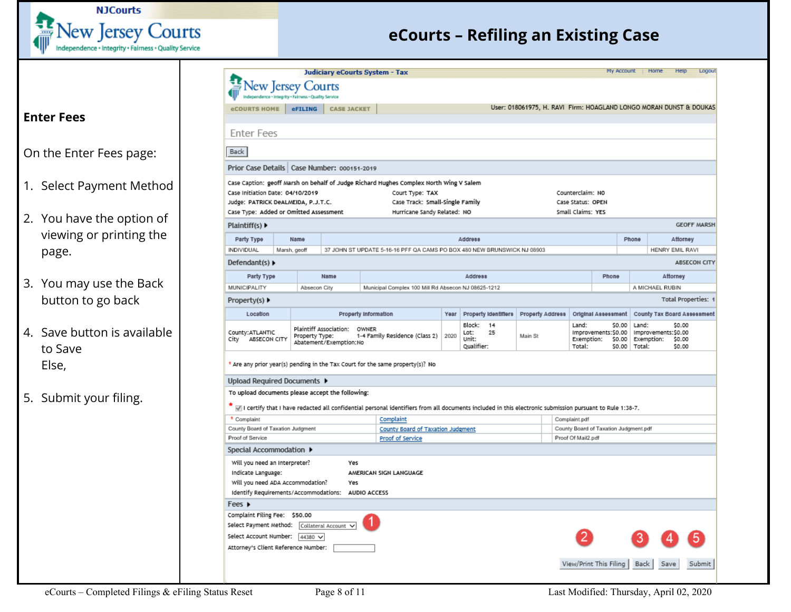

<span id="page-7-0"></span>

|                                        | <b>Vew Jersey Courts</b>                                                                                                                                                                                                                                                                                                             |                                          |                        | Judiciary eCourts System - Tax                                                                                                                                              |                                                   |                                                                    |                                                            |                                                   | My Account   Home |                                   | Help                       | Logout                     |
|----------------------------------------|--------------------------------------------------------------------------------------------------------------------------------------------------------------------------------------------------------------------------------------------------------------------------------------------------------------------------------------|------------------------------------------|------------------------|-----------------------------------------------------------------------------------------------------------------------------------------------------------------------------|---------------------------------------------------|--------------------------------------------------------------------|------------------------------------------------------------|---------------------------------------------------|-------------------|-----------------------------------|----------------------------|----------------------------|
|                                        |                                                                                                                                                                                                                                                                                                                                      |                                          |                        |                                                                                                                                                                             |                                                   | User: 018061975, H. RAVI Firm: HOAGLAND LONGO MORAN DUNST & DOUKAS |                                                            |                                                   |                   |                                   |                            |                            |
| <b>Enter Fees</b>                      | eCOURTS HOME                                                                                                                                                                                                                                                                                                                         | <b>eFILING</b>                           | <b>CASE JACKET</b>     |                                                                                                                                                                             |                                                   |                                                                    |                                                            |                                                   |                   |                                   |                            |                            |
|                                        | <b>Enter Fees</b>                                                                                                                                                                                                                                                                                                                    |                                          |                        |                                                                                                                                                                             |                                                   |                                                                    |                                                            |                                                   |                   |                                   |                            |                            |
| On the Enter Fees page:                | Back                                                                                                                                                                                                                                                                                                                                 |                                          |                        |                                                                                                                                                                             |                                                   |                                                                    |                                                            |                                                   |                   |                                   |                            |                            |
|                                        | Prior Case Details Case Number: 000151-2019                                                                                                                                                                                                                                                                                          |                                          |                        |                                                                                                                                                                             |                                                   |                                                                    |                                                            |                                                   |                   |                                   |                            |                            |
| 1. Select Payment Method               | Case Initiation Date: 04/10/2019<br>Judge: PATRICK DeALMEIDA, P.J.T.C.<br>Case Type: Added or Omitted Assessment                                                                                                                                                                                                                     |                                          |                        | Case Caption: geoff Marsh on behalf of Judge Richard Hughes Complex North Wing V Salem<br>Court Type: TAX<br>Case Track: Small-Single Family<br>Hurricane Sandy Related: NO |                                                   |                                                                    | Counterclaim: NO<br>Case Status: OPEN<br>Small Claims: YES |                                                   |                   |                                   |                            |                            |
| 2. You have the option of              | Plaintiff(s) $\blacktriangleright$                                                                                                                                                                                                                                                                                                   |                                          |                        |                                                                                                                                                                             |                                                   |                                                                    |                                                            |                                                   |                   |                                   |                            | <b>GEOFF MARSH</b>         |
| viewing or printing the                | Party Type                                                                                                                                                                                                                                                                                                                           | Name                                     |                        |                                                                                                                                                                             | Address                                           |                                                                    |                                                            |                                                   | Phone             |                                   | Attorney                   |                            |
| page.                                  | INDIVIDUAL<br>Marsh, geoff<br>37 JOHN ST UPDATE 5-16-16 PFF QA CAMS PO BOX 480 NEW BRUNSWICK NJ 08903<br>Defendant(s) $\blacktriangleright$<br>Name                                                                                                                                                                                  |                                          |                        | HENRY EMIL RAVI                                                                                                                                                             |                                                   |                                                                    |                                                            |                                                   |                   |                                   |                            |                            |
|                                        |                                                                                                                                                                                                                                                                                                                                      |                                          |                        |                                                                                                                                                                             |                                                   |                                                                    | ABSECON CITY                                               |                                                   |                   |                                   |                            |                            |
|                                        | Party Type                                                                                                                                                                                                                                                                                                                           |                                          |                        |                                                                                                                                                                             | <b>Address</b>                                    |                                                                    |                                                            | Phone                                             |                   |                                   | Attorney                   |                            |
| 3. You may use the Back                | MUNICIPALITY                                                                                                                                                                                                                                                                                                                         | Absecon City                             |                        | Municipal Complex 100 Mill Rd Absecon NJ 08625-1212                                                                                                                         |                                                   |                                                                    |                                                            |                                                   |                   | A MICHAEL RUBIN                   |                            |                            |
| button to go back                      | Property(s) $\blacktriangleright$                                                                                                                                                                                                                                                                                                    |                                          |                        |                                                                                                                                                                             |                                                   |                                                                    |                                                            |                                                   |                   |                                   |                            | <b>Total Properties: 1</b> |
|                                        | Location                                                                                                                                                                                                                                                                                                                             |                                          |                        | Property Information                                                                                                                                                        | Year   Property Identifiers                       | Property Address                                                   |                                                            | Original Assessment                               |                   | County Tax Board Assessment       |                            |                            |
| 4. Save button is available<br>to Save | County: ATLANTIC<br>ABSECON CITY<br>City                                                                                                                                                                                                                                                                                             | Plaintiff Association:<br>Property Type: | Abatement/Exemption:No | OWNER<br>1-4 Family Residence (Class 2) 2020                                                                                                                                | Block:<br>14<br>Lot:<br>25<br>Unit:<br>Qualifier: | Main St                                                            | Land:<br>Exemption:<br>Total:                              | \$0.00<br>Improvements:\$0.00<br>\$0.00<br>\$0.00 | Land:<br>Total:   | Improvements:\$0.00<br>Exemption: | \$0.00<br>\$0.00<br>\$0.00 |                            |
| Else,                                  |                                                                                                                                                                                                                                                                                                                                      |                                          |                        | * Are any prior year(s) pending in the Tax Court for the same property(s)? No                                                                                               |                                                   |                                                                    |                                                            |                                                   |                   |                                   |                            |                            |
|                                        | Upload Required Documents ▶                                                                                                                                                                                                                                                                                                          |                                          |                        |                                                                                                                                                                             |                                                   |                                                                    |                                                            |                                                   |                   |                                   |                            |                            |
| 5. Submit your filing.                 | To upload documents please accept the following:                                                                                                                                                                                                                                                                                     |                                          |                        | * I certify that I have redacted all confidential personal identifiers from all documents included in this electronic submission pursuant to Rule 1:38-7.                   |                                                   |                                                                    |                                                            |                                                   |                   |                                   |                            |                            |
|                                        | * Complaint<br>County Board of Taxation Judgment                                                                                                                                                                                                                                                                                     |                                          |                        | Complaint                                                                                                                                                                   |                                                   |                                                                    | Complaint.pdf                                              | County Board of Taxation Judgment.pdf             |                   |                                   |                            |                            |
|                                        | Proof of Service                                                                                                                                                                                                                                                                                                                     |                                          |                        | County Board of Taxation Judgment<br>Proof of Service                                                                                                                       |                                                   |                                                                    | Proof Of Mail2.pdf                                         |                                                   |                   |                                   |                            |                            |
|                                        | Special Accommodation ▶                                                                                                                                                                                                                                                                                                              |                                          |                        |                                                                                                                                                                             |                                                   |                                                                    |                                                            |                                                   |                   |                                   |                            |                            |
|                                        | Will you need an Interpreter?<br>Indicate Language:<br>Will you need ADA Accommodation?<br>Identify Requirements/Accommodations: AUDIO ACCESS<br>Fees $\triangleright$<br>Complaint Filing Fee: \$50.00<br>Select Payment Method: Collateral Account V<br>Select Account Number: $44380 \vee$<br>Attorney's Client Reference Number: |                                          | Yes<br>Yes             | AMERICAN SIGN LANGUAGE                                                                                                                                                      |                                                   |                                                                    |                                                            | View/Print This Filing                            | Back              | Save                              |                            | Submit                     |
|                                        |                                                                                                                                                                                                                                                                                                                                      |                                          |                        |                                                                                                                                                                             |                                                   |                                                                    |                                                            |                                                   |                   |                                   |                            |                            |

eCourts – Completed Filings & eFiling Status Reset Page 8 of 11 Last Modified: Thursday, April 02, 2020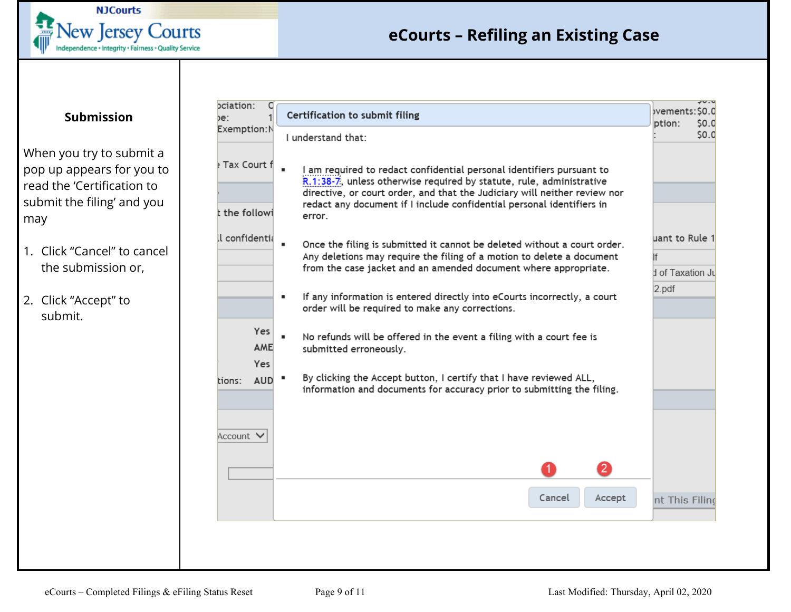

#### **Submission**

<span id="page-8-0"></span>When you try to submit a pop up appears for you to read the 'Certification to submit the filing' and you may

- 1. Click "Cancel" to cancel the submission or,
- 2. Click "Accept" to submit.

| be:                          | Certification to submit filing                                                                                                                                                                                                                                                                                | ナマ・マ<br>bvements: S0.0<br>ption:<br>SO.0 |
|------------------------------|---------------------------------------------------------------------------------------------------------------------------------------------------------------------------------------------------------------------------------------------------------------------------------------------------------------|------------------------------------------|
| Exemption:N                  | I understand that:                                                                                                                                                                                                                                                                                            | \$0.0                                    |
| Fax Court f<br>t the followi | I am required to redact confidential personal identifiers pursuant to<br>R.1:38-7, unless otherwise required by statute, rule, administrative<br>directive, or court order, and that the Judiciary will neither review nor<br>redact any document if I include confidential personal identifiers in<br>error. |                                          |
| ll confidentia               | Once the filing is submitted it cannot be deleted without a court order.                                                                                                                                                                                                                                      | uant to Rule 1                           |
|                              | Any deletions may require the filing of a motion to delete a document<br>from the case jacket and an amended document where appropriate.                                                                                                                                                                      | Ιf<br>d of Taxation Ju                   |
|                              | If any information is entered directly into eCourts incorrectly, a court<br>٠<br>order will be required to make any corrections.                                                                                                                                                                              | $2$ .pdf                                 |
| Yes<br>AME<br>Yes            | No refunds will be offered in the event a filing with a court fee is<br>submitted erroneously.                                                                                                                                                                                                                |                                          |
| <b>AUD</b><br>tions:         | By clicking the Accept button, I certify that I have reviewed ALL,<br>information and documents for accuracy prior to submitting the filing.                                                                                                                                                                  |                                          |
| Account V                    |                                                                                                                                                                                                                                                                                                               |                                          |
|                              | $\mathbf{2}$<br>1                                                                                                                                                                                                                                                                                             |                                          |
|                              | Cancel<br>Accept                                                                                                                                                                                                                                                                                              | nt This Filind                           |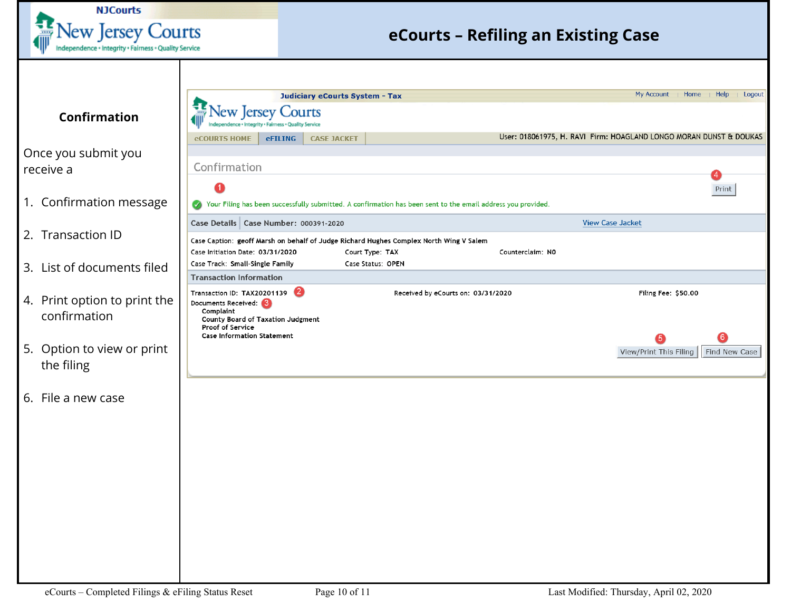<span id="page-9-0"></span>